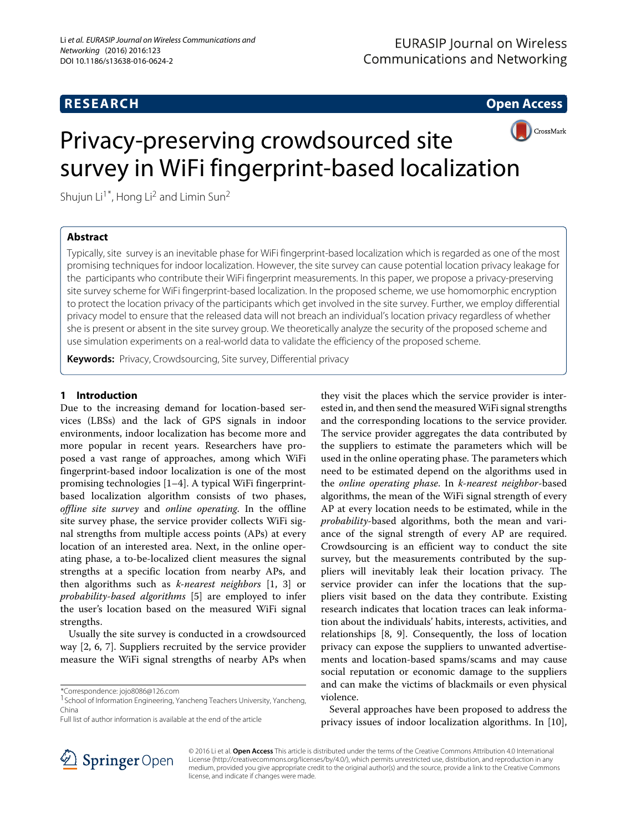CrossMark

# Privacy-preserving crowdsourced site survey in WiFi fingerprint-based localization

Shujun Li<sup>1\*</sup>, Hong Li<sup>2</sup> and Limin Sun<sup>2</sup>

## **Abstract**

Typically, site survey is an inevitable phase for WiFi fingerprint-based localization which is regarded as one of the most promising techniques for indoor localization. However, the site survey can cause potential location privacy leakage for the participants who contribute their WiFi fingerprint measurements. In this paper, we propose a privacy-preserving site survey scheme for WiFi fingerprint-based localization. In the proposed scheme, we use homomorphic encryption to protect the location privacy of the participants which get involved in the site survey. Further, we employ differential privacy model to ensure that the released data will not breach an individual's location privacy regardless of whether she is present or absent in the site survey group. We theoretically analyze the security of the proposed scheme and use simulation experiments on a real-world data to validate the efficiency of the proposed scheme.

**Keywords:** Privacy, Crowdsourcing, Site survey, Differential privacy

## **1 Introduction**

Due to the increasing demand for location-based services (LBSs) and the lack of GPS signals in indoor environments, indoor localization has become more and more popular in recent years. Researchers have proposed a vast range of approaches, among which WiFi fingerprint-based indoor localization is one of the most promising technologies [\[1](#page-7-0)[–4\]](#page-7-1). A typical WiFi fingerprintbased localization algorithm consists of two phases, *offline site survey* and *online operating*. In the offline site survey phase, the service provider collects WiFi signal strengths from multiple access points (APs) at every location of an interested area. Next, in the online operating phase, a to-be-localized client measures the signal strengths at a specific location from nearby APs, and then algorithms such as *k-nearest neighbors* [\[1,](#page-7-0) [3\]](#page-7-2) or *probability-based algorithms* [\[5\]](#page-7-3) are employed to infer the user's location based on the measured WiFi signal strengths.

Usually the site survey is conducted in a crowdsourced way [\[2,](#page-7-4) [6,](#page-7-5) [7\]](#page-7-6). Suppliers recruited by the service provider measure the WiFi signal strengths of nearby APs when

\*Correspondence: [jojo8086@126.com](mailto: jojo8086@126.com)

they visit the places which the service provider is interested in, and then send the measured WiFi signal strengths and the corresponding locations to the service provider. The service provider aggregates the data contributed by the suppliers to estimate the parameters which will be used in the online operating phase. The parameters which need to be estimated depend on the algorithms used in the *online operating phase*. In *k-nearest neighbor*-based algorithms, the mean of the WiFi signal strength of every AP at every location needs to be estimated, while in the *probability*-based algorithms, both the mean and variance of the signal strength of every AP are required. Crowdsourcing is an efficient way to conduct the site survey, but the measurements contributed by the suppliers will inevitably leak their location privacy. The service provider can infer the locations that the suppliers visit based on the data they contribute. Existing research indicates that location traces can leak information about the individuals' habits, interests, activities, and relationships [\[8,](#page-7-7) [9\]](#page-7-8). Consequently, the loss of location privacy can expose the suppliers to unwanted advertisements and location-based spams/scams and may cause social reputation or economic damage to the suppliers and can make the victims of blackmails or even physical violence.

Several approaches have been proposed to address the privacy issues of indoor localization algorithms. In [\[10\]](#page-7-9),



© 2016 Li et al. **Open Access** This article is distributed under the terms of the Creative Commons Attribution 4.0 International License [\(http://creativecommons.org/licenses/by/4.0/\)](http://creativecommons.org/licenses/by/4.0/), which permits unrestricted use, distribution, and reproduction in any medium, provided you give appropriate credit to the original author(s) and the source, provide a link to the Creative Commons license, and indicate if changes were made.

<sup>&</sup>lt;sup>1</sup> School of Information Engineering, Yancheng Teachers University, Yancheng, China

Full list of author information is available at the end of the article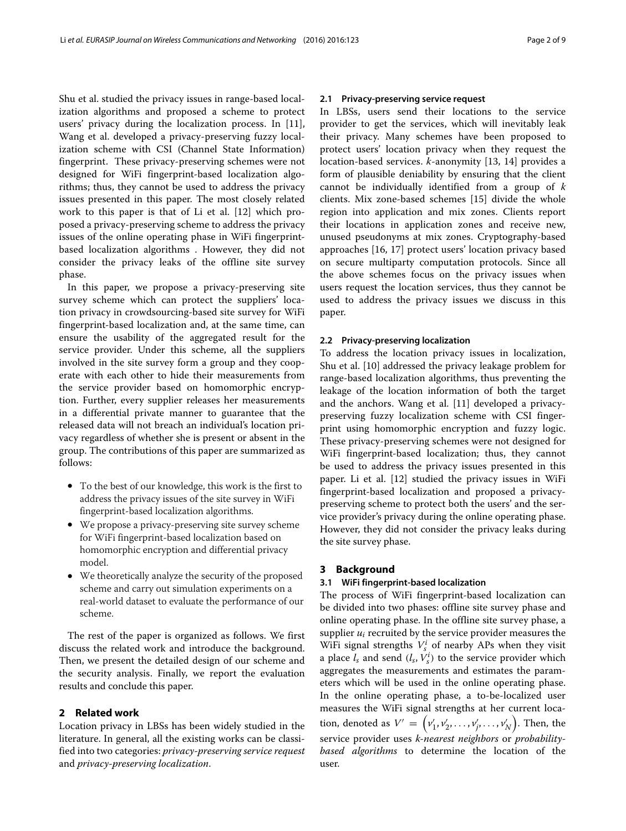Shu et al. studied the privacy issues in range-based localization algorithms and proposed a scheme to protect users' privacy during the localization process. In [\[11\]](#page-7-10), Wang et al. developed a privacy-preserving fuzzy localization scheme with CSI (Channel State Information) fingerprint. These privacy-preserving schemes were not designed for WiFi fingerprint-based localization algorithms; thus, they cannot be used to address the privacy issues presented in this paper. The most closely related work to this paper is that of Li et al. [\[12\]](#page-7-11) which proposed a privacy-preserving scheme to address the privacy issues of the online operating phase in WiFi fingerprintbased localization algorithms . However, they did not consider the privacy leaks of the offline site survey phase.

In this paper, we propose a privacy-preserving site survey scheme which can protect the suppliers' location privacy in crowdsourcing-based site survey for WiFi fingerprint-based localization and, at the same time, can ensure the usability of the aggregated result for the service provider. Under this scheme, all the suppliers involved in the site survey form a group and they cooperate with each other to hide their measurements from the service provider based on homomorphic encryption. Further, every supplier releases her measurements in a differential private manner to guarantee that the released data will not breach an individual's location privacy regardless of whether she is present or absent in the group. The contributions of this paper are summarized as follows:

- To the best of our knowledge, this work is the first to address the privacy issues of the site survey in WiFi fingerprint-based localization algorithms.
- We propose a privacy-preserving site survey scheme for WiFi fingerprint-based localization based on homomorphic encryption and differential privacy model.
- We theoretically analyze the security of the proposed scheme and carry out simulation experiments on a real-world dataset to evaluate the performance of our scheme.

The rest of the paper is organized as follows. We first discuss the related work and introduce the background. Then, we present the detailed design of our scheme and the security analysis. Finally, we report the evaluation results and conclude this paper.

## **2 Related work**

Location privacy in LBSs has been widely studied in the literature. In general, all the existing works can be classified into two categories: *privacy-preserving service request* and *privacy-preserving localization*.

## **2.1 Privacy-preserving service request**

In LBSs, users send their locations to the service provider to get the services, which will inevitably leak their privacy. Many schemes have been proposed to protect users' location privacy when they request the location-based services. *k*-anonymity [\[13,](#page-7-12) [14\]](#page-7-13) provides a form of plausible deniability by ensuring that the client cannot be individually identified from a group of *k* clients. Mix zone-based schemes [\[15\]](#page-7-14) divide the whole region into application and mix zones. Clients report their locations in application zones and receive new, unused pseudonyms at mix zones. Cryptography-based approaches [\[16,](#page-7-15) [17\]](#page-7-16) protect users' location privacy based on secure multiparty computation protocols. Since all the above schemes focus on the privacy issues when users request the location services, thus they cannot be used to address the privacy issues we discuss in this paper.

#### **2.2 Privacy-preserving localization**

To address the location privacy issues in localization, Shu et al. [\[10\]](#page-7-9) addressed the privacy leakage problem for range-based localization algorithms, thus preventing the leakage of the location information of both the target and the anchors. Wang et al. [\[11\]](#page-7-10) developed a privacypreserving fuzzy localization scheme with CSI fingerprint using homomorphic encryption and fuzzy logic. These privacy-preserving schemes were not designed for WiFi fingerprint-based localization; thus, they cannot be used to address the privacy issues presented in this paper. Li et al. [\[12\]](#page-7-11) studied the privacy issues in WiFi fingerprint-based localization and proposed a privacypreserving scheme to protect both the users' and the service provider's privacy during the online operating phase. However, they did not consider the privacy leaks during the site survey phase.

## **3 Background**

## **3.1 WiFi fingerprint-based localization**

The process of WiFi fingerprint-based localization can be divided into two phases: offline site survey phase and online operating phase. In the offline site survey phase, a supplier  $u_i$  recruited by the service provider measures the WiFi signal strengths  $V_s^i$  of nearby APs when they visit a place  $l_s$  and send  $(l_s, V_s^i)$  to the service provider which aggregates the measurements and estimates the parameters which will be used in the online operating phase. In the online operating phase, a to-be-localized user measures the WiFi signal strengths at her current location, denoted as  $V' = \left(v'_1, v'_2, \ldots, v'_j, \ldots, v'_N\right)$ . Then, the service provider uses *k-nearest neighbors* or *probabilitybased algorithms* to determine the location of the user.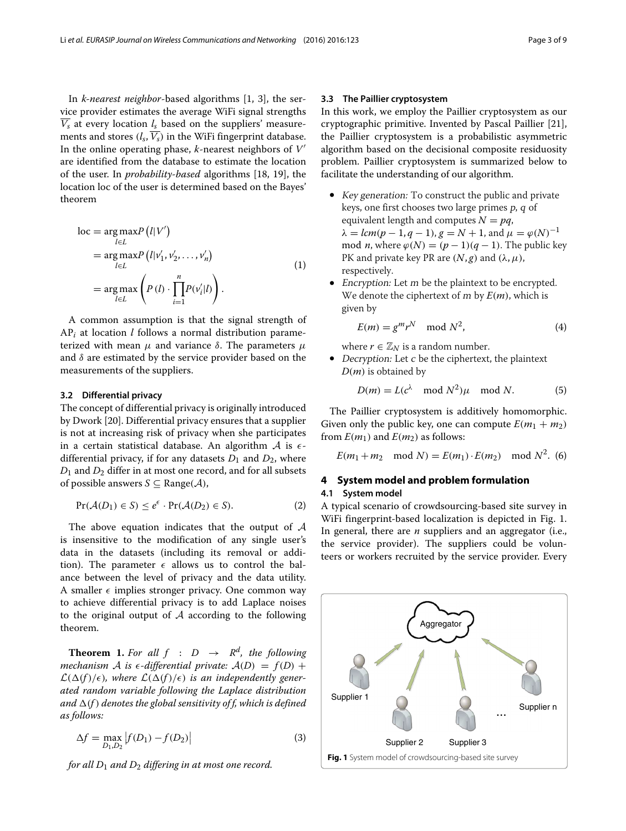In *k-nearest neighbor*-based algorithms [\[1,](#page-7-0) [3\]](#page-7-2), the service provider estimates the average WiFi signal strengths  $\overline{V_s}$  at every location  $l_s$  based on the suppliers' measurements and stores  $(l_s, \overline{V_s})$  in the WiFi fingerprint database. In the online operating phase, *k*-nearest neighbors of *V* are identified from the database to estimate the location of the user. In *probability-based* algorithms [\[18,](#page-7-17) [19\]](#page-8-0), the location loc of the user is determined based on the Bayes' theorem

$$
loc = \underset{l \in L}{\arg \max} P(l|V')
$$
  
= 
$$
\underset{l \in L}{\arg \max} P(l|\nu'_1, \nu'_2, \dots, \nu'_n)
$$
  
= 
$$
\underset{l \in L}{\arg \max} \left( P(l) \cdot \prod_{i=1}^n P(\nu'_i|l) \right).
$$
 (1)

A common assumption is that the signal strength of AP*<sup>i</sup>* at location *l* follows a normal distribution parameterized with mean  $\mu$  and variance  $\delta$ . The parameters  $\mu$ and  $\delta$  are estimated by the service provider based on the measurements of the suppliers.

#### **3.2 Differential privacy**

The concept of differential privacy is originally introduced by Dwork [\[20\]](#page-8-1). Differential privacy ensures that a supplier is not at increasing risk of privacy when she participates in a certain statistical database. An algorithm  $A$  is  $\epsilon$ differential privacy, if for any datasets  $D_1$  and  $D_2$ , where  $D_1$  and  $D_2$  differ in at most one record, and for all subsets of possible answers  $S \subseteq \text{Range}(\mathcal{A})$ ,

$$
Pr(\mathcal{A}(D_1) \in S) \le e^{\epsilon} \cdot Pr(\mathcal{A}(D_2) \in S).
$$
 (2)

The above equation indicates that the output of  $A$ is insensitive to the modification of any single user's data in the datasets (including its removal or addition). The parameter  $\epsilon$  allows us to control the balance between the level of privacy and the data utility. A smaller  $\epsilon$  implies stronger privacy. One common way to achieve differential privacy is to add Laplace noises to the original output of  $A$  according to the following theorem.

<span id="page-2-1"></span>**Theorem 1.** For all  $f : D \rightarrow \mathbb{R}^d$ , the following *mechanism*  $\hat{A}$  *is*  $\epsilon$ -differential private:  $\hat{A}(D) = f(D) + f(D)$  $\mathcal{L}(\Delta(f)/\epsilon)$ , where  $\mathcal{L}(\Delta(f)/\epsilon)$  is an independently gener*ated random variable following the Laplace distribution* and  $\Delta(f)$  denotes the global sensitivity of f, which is defined *as follows:*

$$
\Delta f = \max_{D_1, D_2} |f(D_1) - f(D_2)| \tag{3}
$$

for all 
$$
D_1
$$
 and  $D_2$  differing in at most one record.

## **3.3 The Paillier cryptosystem**

In this work, we employ the Paillier cryptosystem as our cryptographic primitive. Invented by Pascal Paillier [\[21\]](#page-8-2), the Paillier cryptosystem is a probabilistic asymmetric algorithm based on the decisional composite residuosity problem. Paillier cryptosystem is summarized below to facilitate the understanding of our algorithm.

- Key generation: To construct the public and private keys, one first chooses two large primes <sup>p</sup>, <sup>q</sup> of equivalent length and computes  $N = pq$ ,  $\lambda = lcm(p - 1, q - 1), g = N + 1,$  and  $\mu = \varphi(N)^{-1}$ mod *n*, where  $\varphi(N) = (p-1)(q-1)$ . The public key PK and private key PR are  $(N, g)$  and  $(\lambda, \mu)$ , respectively.
- Encryption: Let <sup>m</sup> be the plaintext to be encrypted. We denote the ciphertext of <sup>m</sup> by *E*(*m*), which is given by

$$
E(m) = g^m r^N \mod N^2,
$$
 (4)

where  $r \in \mathbb{Z}_N$  is a random number.

• Decryption: Let c be the ciphertext, the plaintext *D*(*m*) is obtained by

$$
D(m) = L(c^{\lambda} \mod N^2)\mu \mod N. \tag{5}
$$

The Paillier cryptosystem is additively homomorphic. Given only the public key, one can compute  $E(m_1 + m_2)$ from  $E(m_1)$  and  $E(m_2)$  as follows:

$$
E(m_1 + m_2 \mod N) = E(m_1) \cdot E(m_2) \mod N^2
$$
. (6)

## **4 System model and problem formulation 4.1 System model**

A typical scenario of crowdsourcing-based site survey in WiFi fingerprint-based localization is depicted in Fig. [1.](#page-2-0) In general, there are *n* suppliers and an aggregator (i.e., the service provider). The suppliers could be volunteers or workers recruited by the service provider. Every

<span id="page-2-0"></span>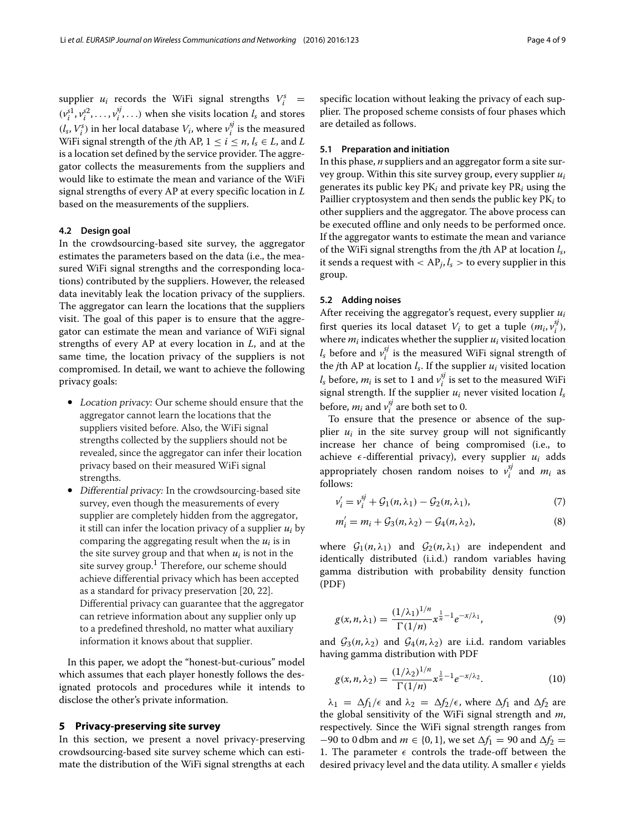supplier  $u_i$  records the WiFi signal strengths  $V_i^s$  =  $(v_i^{s1}, v_i^{s2}, \ldots, v_i^{s_j}, \ldots)$  when she visits location  $l_s$  and stores  $(l_s, V_i^s)$  in her local database  $V_i$ , where  $v_i^{sj}$  is the measured WiFi signal strength of the *j*th AP,  $1 \le i \le n$ ,  $l_s \in L$ , and *L* is a location set defined by the service provider. The aggregator collects the measurements from the suppliers and would like to estimate the mean and variance of the WiFi signal strengths of every AP at every specific location in *L* based on the measurements of the suppliers.

## **4.2 Design goal**

In the crowdsourcing-based site survey, the aggregator estimates the parameters based on the data (i.e., the measured WiFi signal strengths and the corresponding locations) contributed by the suppliers. However, the released data inevitably leak the location privacy of the suppliers. The aggregator can learn the locations that the suppliers visit. The goal of this paper is to ensure that the aggregator can estimate the mean and variance of WiFi signal strengths of every AP at every location in *L*, and at the same time, the location privacy of the suppliers is not compromised. In detail, we want to achieve the following privacy goals:

- Location privacy: Our scheme should ensure that the aggregator cannot learn the locations that the suppliers visited before. Also, the WiFi signal strengths collected by the suppliers should not be revealed, since the aggregator can infer their location privacy based on their measured WiFi signal strengths.
- Differential privacy: In the crowdsourcing-based site survey, even though the measurements of every supplier are completely hidden from the aggregator, it still can infer the location privacy of a supplier *ui* by comparing the aggregating result when the *ui* is in the site survey group and that when  $u_i$  is not in the site survey group.<sup>1</sup> Therefore, our scheme should achieve differential privacy which has been accepted as a standard for privacy preservation [\[20,](#page-8-1) [22\]](#page-8-3). Differential privacy can guarantee that the aggregator can retrieve information about any supplier only up to a predefined threshold, no matter what auxiliary information it knows about that supplier.

In this paper, we adopt the "honest-but-curious" model which assumes that each player honestly follows the designated protocols and procedures while it intends to disclose the other's private information.

## **5 Privacy-preserving site survey**

In this section, we present a novel privacy-preserving crowdsourcing-based site survey scheme which can estimate the distribution of the WiFi signal strengths at each

specific location without leaking the privacy of each supplier. The proposed scheme consists of four phases which are detailed as follows.

## **5.1 Preparation and initiation**

In this phase, *n* suppliers and an aggregator form a site survey group. Within this site survey group, every supplier *ui* generates its public key PK*<sup>i</sup>* and private key PR*<sup>i</sup>* using the Paillier cryptosystem and then sends the public key PK*<sup>i</sup>* to other suppliers and the aggregator. The above process can be executed offline and only needs to be performed once. If the aggregator wants to estimate the mean and variance of the WiFi signal strengths from the *j*th AP at location *ls*, it sends a request with  $\langle AP_j, l_s \rangle$  to every supplier in this group.

## **5.2 Adding noises**

After receiving the aggregator's request, every supplier *ui* first queries its local dataset  $V_i$  to get a tuple  $(m_i, v_i^{sj})$ , where  $m_i$  indicates whether the supplier  $u_i$  visited location  $l_s$  before and  $v_i^{sj}$  is the measured WiFi signal strength of the *j*th AP at location  $l_s$ . If the supplier  $u_i$  visited location  $l_s$  before,  $m_i$  is set to 1 and  $v_i^{sj}$  is set to the measured WiFi signal strength. If the supplier  $u_i$  never visited location  $l_s$ before,  $m_i$  and  $v_i^{sj}$  are both set to 0.

To ensure that the presence or absence of the supplier  $u_i$  in the site survey group will not significantly increase her chance of being compromised (i.e., to achieve  $\epsilon$ -differential privacy), every supplier  $u_i$  adds appropriately chosen random noises to  $v_i^{sj}$  and  $m_i$  as follows:

$$
v_i' = v_i^{sj} + \mathcal{G}_1(n, \lambda_1) - \mathcal{G}_2(n, \lambda_1),
$$
 (7)

$$
m'_i = m_i + \mathcal{G}_3(n, \lambda_2) - \mathcal{G}_4(n, \lambda_2), \tag{8}
$$

where  $G_1(n, \lambda_1)$  and  $G_2(n, \lambda_1)$  are independent and identically distributed (i.i.d.) random variables having gamma distribution with probability density function (PDF)

$$
g(x, n, \lambda_1) = \frac{(1/\lambda_1)^{1/n}}{\Gamma(1/n)} x^{\frac{1}{n}-1} e^{-x/\lambda_1},
$$
\n(9)

and  $G_3(n, \lambda_2)$  and  $G_4(n, \lambda_2)$  are i.i.d. random variables having gamma distribution with PDF

$$
g(x, n, \lambda_2) = \frac{(1/\lambda_2)^{1/n}}{\Gamma(1/n)} x^{\frac{1}{n}-1} e^{-x/\lambda_2}.
$$
 (10)

 $\lambda_1 = \Delta f_1/\epsilon$  and  $\lambda_2 = \Delta f_2/\epsilon$ , where  $\Delta f_1$  and  $\Delta f_2$  are the global sensitivity of the WiFi signal strength and *m*, respectively. Since the WiFi signal strength ranges from −90 to 0 dbm and *m* ∈ {0, 1}, we set  $\Delta f_1 = 90$  and  $\Delta f_2 =$ 1. The parameter  $\epsilon$  controls the trade-off between the desired privacy level and the data utility. A smaller  $\epsilon$  yields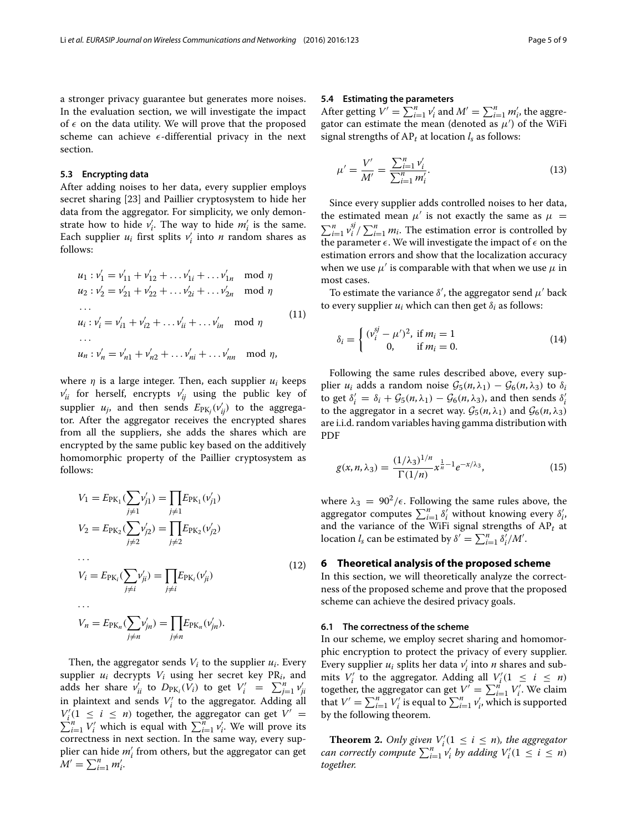a stronger privacy guarantee but generates more noises. In the evaluation section, we will investigate the impact of  $\epsilon$  on the data utility. We will prove that the proposed scheme can achieve  $\epsilon$ -differential privacy in the next section.

## **5.3 Encrypting data**

After adding noises to her data, every supplier employs secret sharing [\[23\]](#page-8-4) and Paillier cryptosystem to hide her data from the aggregator. For simplicity, we only demonstrate how to hide  $v'_i$ . The way to hide  $m'_i$  is the same. Each supplier  $u_i$  first splits  $v'_i$  into *n* random shares as follows:

$$
u_1 : v'_1 = v'_{11} + v'_{12} + \dots + v'_{1i} + \dots + v'_{1n} \mod \eta
$$
  
\n
$$
u_2 : v'_2 = v'_{21} + v'_{22} + \dots + v'_{2i} + \dots + v'_{2n} \mod \eta
$$
  
\n...  
\n
$$
u_i : v'_i = v'_{i1} + v'_{i2} + \dots + v'_{ii} + \dots + v'_{in} \mod \eta
$$
  
\n...  
\n
$$
u_n : v'_n = v'_{n1} + v'_{n2} + \dots + v'_{ni} + \dots + v'_{nn} \mod \eta,
$$
  
\n(11)

where η is a large integer. Then, each supplier *ui* keeps  $\nu'_{ii}$  for herself, encrypts  $\nu'_{ij}$  using the public key of supplier  $u_j$ , and then sends  $E_{\text{PK}_j}(v'_{ij})$  to the aggregator. After the aggregator receives the encrypted shares from all the suppliers, she adds the shares which are encrypted by the same public key based on the additively homomorphic property of the Paillier cryptosystem as follows:

$$
V_1 = E_{PK_1}(\sum_{j\neq 1} v'_{j1}) = \prod_{j\neq 1} E_{PK_1}(v'_{j1})
$$
  
\n
$$
V_2 = E_{PK_2}(\sum_{j\neq 2} v'_{j2}) = \prod_{j\neq 2} E_{PK_2}(v'_{j2})
$$
  
\n...  
\n
$$
V_i = E_{PK_i}(\sum_{j\neq i} v'_{ji}) = \prod_{j\neq i} E_{PK_i}(v'_{ji})
$$
  
\n...  
\n
$$
V_n = E_{PK_n}(\sum_{j\neq n} v'_{jn}) = \prod_{j\neq n} E_{PK_n}(v'_{jn}).
$$
  
\n(12)

Then, the aggregator sends  $V_i$  to the supplier  $u_i$ . Every supplier  $u_i$  decrypts  $V_i$  using her secret key  $PR_i$ , and adds her share  $v'_{ii}$  to  $D_{PK_i}(V_i)$  to get  $V'_i = \sum_{j=1}^n v'_{ji}$ in plaintext and sends  $V_i'$  to the aggregator. Adding all  $V_i'(1 \le i \le n)$  together, the aggregator can get  $V' = \sum_{i=1}^n V_i$  which is equal with  $\sum_{i=1}^n V_i$  We will prove its  $V_i'(1 \leq i \leq n)$  together, the aggregator can get  $V' = \sum_{i=1}^n V_i'$  which is equal with  $\sum_{i=1}^n v_i'$ . We will prove its correctness in next section. In the same way, every supplier can hide  $m'_i$  from others, but the aggregator can get  $M' = \sum_{i=1}^{n} m'_i$ .

#### **5.4 Estimating the parameters**

After getting  $V' = \sum_{i=1}^{n} v'_i$  and  $M' = \sum_{i=1}^{n} m'_i$ , the aggregator can estimate the mean (denoted as  $\mu'$ ) of the WiFi signal strengths of  $AP_t$  at location  $l_s$  as follows:

$$
\mu' = \frac{V'}{M'} = \frac{\sum_{i=1}^{n} v'_i}{\sum_{i=1}^{n} m'_i}.
$$
\n(13)

Since every supplier adds controlled noises to her data, the estimated mean  $\mu'$  is not exactly the same as  $\mu$  =  $\sum_{i=1}^{n} v_i^{sj} / \sum_{i=1}^{n} m_i$ . The estimation error is controlled by the parameter  $\epsilon$ . We will investigate the impact of  $\epsilon$  on the estimation errors and show that the localization accuracy when we use  $\mu'$  is comparable with that when we use  $\mu$  in most cases.

To estimate the variance  $\delta'$ , the aggregator send  $\mu'$  back to every supplier  $u_i$  which can then get  $\delta_i$  as follows:

$$
\delta_i = \begin{cases} (v_i^{sj} - \mu')^2, \text{ if } m_i = 1\\ 0, \text{ if } m_i = 0. \end{cases}
$$
 (14)

Following the same rules described above, every supplier *u<sub>i</sub>* adds a random noise  $G_5(n, \lambda_1) - G_6(n, \lambda_3)$  to  $\delta_i$ to get  $\delta'_i = \delta_i + \mathcal{G}_5(n, \lambda_1) - \mathcal{G}_6(n, \lambda_3)$ , and then sends  $\delta'_i$ to the aggregator in a secret way.  $G_5(n, \lambda_1)$  and  $G_6(n, \lambda_3)$ are i.i.d. random variables having gamma distribution with PDF

$$
g(x, n, \lambda_3) = \frac{(1/\lambda_3)^{1/n}}{\Gamma(1/n)} x^{\frac{1}{n}-1} e^{-x/\lambda_3},
$$
\n(15)

where  $\lambda_3 = 90^2/\epsilon$ . Following the same rules above, the aggregator computes  $\sum_{i=1}^{n} \delta_i^{\gamma}$  without knowing every  $\delta_i^{\gamma}$ , and the variance of the WiFi signal strengths of AP*<sup>t</sup>* at location  $l_s$  can be estimated by  $\delta' = \sum_{i=1}^n \delta_i^7/M'.$ 

## **6 Theoretical analysis of the proposed scheme**

In this section, we will theoretically analyze the correctness of the proposed scheme and prove that the proposed scheme can achieve the desired privacy goals.

## **6.1 The correctness of the scheme**

In our scheme, we employ secret sharing and homomorphic encryption to protect the privacy of every supplier. Every supplier  $u_i$  splits her data  $v'_i$  into  $n$  shares and submits  $V'_i$  to the aggregator. Adding all  $V'_i(1 \leq i \leq n)$ together, the aggregator can get  $V' = \sum_{i=1}^{n} V'_i$ . We claim that  $V' = \sum_{i=1}^{n} V'_i$  is equal to  $\sum_{i=1}^{n} v'_i$ , which is supported by the following theorem.

<span id="page-4-0"></span>**Theorem 2.** Only given  $V_i'(1 \leq i \leq n)$ , the aggregator *can correctly compute*  $\sum_{i=1}^{n} v_i'$  *by adding*  $V_i'(1 \leq i \leq n)$ *together.*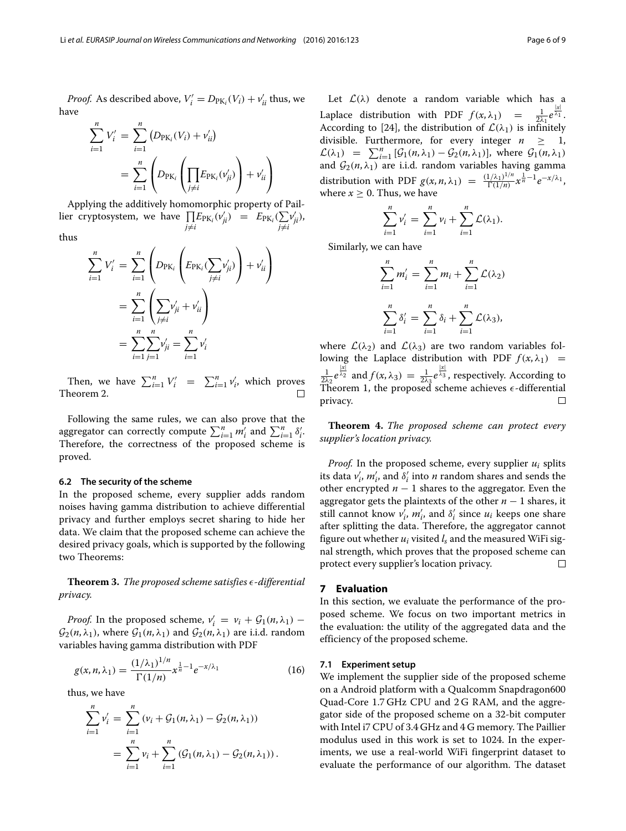*Proof.* As described above,  $V'_i = D_{\text{PK}_i}(V_i) + v'_{ii}$  thus, we have

$$
\sum_{i=1}^{n} V'_{i} = \sum_{i=1}^{n} (D_{PK_{i}}(V_{i}) + v'_{ii})
$$
  
= 
$$
\sum_{i=1}^{n} \left( D_{PK_{i}} \left( \prod_{j \neq i} E_{PK_{i}}(v'_{ji}) \right) + v'_{ii} \right)
$$

Applying the additively homomorphic property of Paillier cryptosystem, we have  $\prod$ *j*=*i*  $E_{\text{PK}_i}(v'_{ji}) = E_{\text{PK}_i}(\sum_{i,j}$  $j \neq i$ *v*- *ji*),

thus

$$
\sum_{i=1}^{n} V'_{i} = \sum_{i=1}^{n} \left( D_{\text{PK}_{i}} \left( E_{\text{PK}_{i}} \left( \sum_{j \neq i} v'_{ji} \right) + v'_{ii} \right) \right)
$$
  
= 
$$
\sum_{i=1}^{n} \left( \sum_{j \neq i} v'_{ji} + v'_{ii} \right)
$$
  
= 
$$
\sum_{i=1}^{n} \sum_{j=1}^{n} v'_{ji} = \sum_{i=1}^{n} v'_{i}
$$

Then, we have  $\sum_{i=1}^{n} V_i' = \sum_{i=1}^{n} v_i'$ , which proves Theorem [2.](#page-4-0)

Following the same rules, we can also prove that the aggregator can correctly compute  $\sum_{i=1}^{n} m'_i$  and  $\sum_{i=1}^{n} \delta'_i$ . Therefore, the correctness of the proposed scheme is proved.

#### **6.2 The security of the scheme**

In the proposed scheme, every supplier adds random noises having gamma distribution to achieve differential privacy and further employs secret sharing to hide her data. We claim that the proposed scheme can achieve the desired privacy goals, which is supported by the following two Theorems:

**Theorem 3.** *The proposed scheme satisfies -differential privacy.*

*Proof.* In the proposed scheme,  $v'_i = v_i + \mathcal{G}_1(n, \lambda_1)$  –  $\mathcal{G}_2(n,\lambda_1)$ , where  $\mathcal{G}_1(n,\lambda_1)$  and  $\mathcal{G}_2(n,\lambda_1)$  are i.i.d. random variables having gamma distribution with PDF

$$
g(x, n, \lambda_1) = \frac{(1/\lambda_1)^{1/n}}{\Gamma(1/n)} x^{\frac{1}{n}-1} e^{-x/\lambda_1}
$$
 (16)

thus, we have

$$
\sum_{i=1}^{n} v'_i = \sum_{i=1}^{n} (v_i + \mathcal{G}_1(n, \lambda_1) - \mathcal{G}_2(n, \lambda_1))
$$
  
= 
$$
\sum_{i=1}^{n} v_i + \sum_{i=1}^{n} (\mathcal{G}_1(n, \lambda_1) - \mathcal{G}_2(n, \lambda_1)).
$$

Let  $\mathcal{L}(\lambda)$  denote a random variable which has a Laplace distribution with PDF  $f(x, \lambda_1) = \frac{1}{2\lambda_1} e^{\frac{|x|}{\lambda_1}}$ . According to [\[24\]](#page-8-5), the distribution of  $\mathcal{L}(\lambda_1)$  is infinitely divisible. Furthermore, for every integer  $n \geq 1$ ,  $\mathcal{L}(\lambda_1) = \sum_{i=1}^n [\mathcal{G}_1(n, \lambda_1) - \mathcal{G}_2(n, \lambda_1)],$  where  $\mathcal{G}_1(n, \lambda_1)$ and  $G_2(n, \lambda_1)$  are i.i.d. random variables having gamma distribution with PDF  $g(x, n, \lambda_1) = \frac{(1/\lambda_1)^{1/n}}{\Gamma(1/n)} x^{\frac{1}{n}-1} e^{-x/\lambda_1}$ , where  $x > 0$ . Thus, we have

$$
\sum_{i=1}^{n} v'_i = \sum_{i=1}^{n} v_i + \sum_{i=1}^{n} \mathcal{L}(\lambda_1).
$$

Similarly, we can have

$$
\sum_{i=1}^{n} m'_{i} = \sum_{i=1}^{n} m_{i} + \sum_{i=1}^{n} \mathcal{L}(\lambda_{2})
$$

$$
\sum_{i=1}^{n} \delta'_{i} = \sum_{i=1}^{n} \delta_{i} + \sum_{i=1}^{n} \mathcal{L}(\lambda_{3}),
$$

where  $\mathcal{L}(\lambda_2)$  and  $\mathcal{L}(\lambda_3)$  are two random variables following the Laplace distribution with PDF  $f(x, \lambda_1)$  =  $\frac{1}{2\lambda_2}e^{\frac{|x|}{\lambda_2}}$  and  $f(x,\lambda_3) = \frac{1}{2\lambda_3}e^{\frac{|x|}{\lambda_3}}$ , respectively. According to Theorem [1,](#page-2-1) the proposed scheme achieves  $\epsilon$ -differential privacy.  $\Box$ 

**Theorem 4.** *The proposed scheme can protect every supplier's location privacy.*

*Proof.* In the proposed scheme, every supplier *ui* splits its data  $v'_i$ ,  $m'_i$ , and  $\delta'_i$  into  $n$  random shares and sends the other encrypted  $n - 1$  shares to the aggregator. Even the aggregator gets the plaintexts of the other *n* − 1 shares, it still cannot know  $v'_i$ ,  $m'_i$ , and  $\delta'_i$  since  $u_i$  keeps one share after splitting the data. Therefore, the aggregator cannot figure out whether  $u_i$  visited  $l_s$  and the measured WiFi signal strength, which proves that the proposed scheme can protect every supplier's location privacy.  $\Box$ 

## **7 Evaluation**

In this section, we evaluate the performance of the proposed scheme. We focus on two important metrics in the evaluation: the utility of the aggregated data and the efficiency of the proposed scheme.

#### **7.1 Experiment setup**

We implement the supplier side of the proposed scheme on a Android platform with a Qualcomm Snapdragon600 Quad-Core 1.7 GHz CPU and 2 G RAM, and the aggregator side of the proposed scheme on a 32-bit computer with Intel i7 CPU of 3.4 GHz and 4 G memory. The Paillier modulus used in this work is set to 1024. In the experiments, we use a real-world WiFi fingerprint dataset to evaluate the performance of our algorithm. The dataset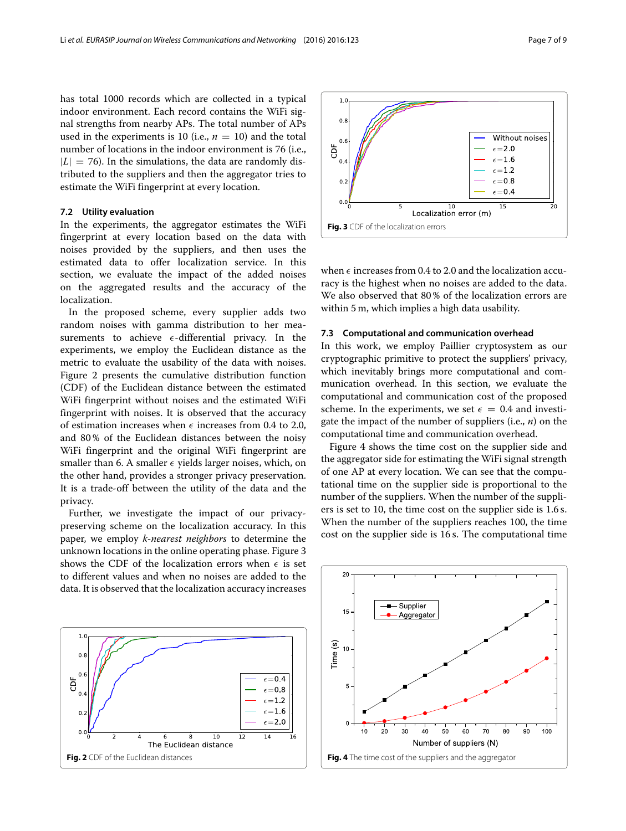has total 1000 records which are collected in a typical indoor environment. Each record contains the WiFi signal strengths from nearby APs. The total number of APs used in the experiments is 10 (i.e.,  $n = 10$ ) and the total number of locations in the indoor environment is 76 (i.e.,  $|L| = 76$ ). In the simulations, the data are randomly distributed to the suppliers and then the aggregator tries to estimate the WiFi fingerprint at every location.

## **7.2 Utility evaluation**

In the experiments, the aggregator estimates the WiFi fingerprint at every location based on the data with noises provided by the suppliers, and then uses the estimated data to offer localization service. In this section, we evaluate the impact of the added noises on the aggregated results and the accuracy of the localization.

In the proposed scheme, every supplier adds two random noises with gamma distribution to her measurements to achieve  $\epsilon$ -differential privacy. In the experiments, we employ the Euclidean distance as the metric to evaluate the usability of the data with noises. Figure [2](#page-6-0) presents the cumulative distribution function (CDF) of the Euclidean distance between the estimated WiFi fingerprint without noises and the estimated WiFi fingerprint with noises. It is observed that the accuracy of estimation increases when  $\epsilon$  increases from 0.4 to 2.0, and 80 % of the Euclidean distances between the noisy WiFi fingerprint and the original WiFi fingerprint are smaller than 6. A smaller  $\epsilon$  yields larger noises, which, on the other hand, provides a stronger privacy preservation. It is a trade-off between the utility of the data and the privacy.

Further, we investigate the impact of our privacypreserving scheme on the localization accuracy. In this paper, we employ *k-nearest neighbors* to determine the unknown locations in the online operating phase. Figure [3](#page-6-1) shows the CDF of the localization errors when  $\epsilon$  is set to different values and when no noises are added to the data. It is observed that the localization accuracy increases

<span id="page-6-0"></span>



<span id="page-6-1"></span>when  $\epsilon$  increases from 0.4 to 2.0 and the localization accuracy is the highest when no noises are added to the data. We also observed that 80 % of the localization errors are within 5 m, which implies a high data usability.

#### **7.3 Computational and communication overhead**

In this work, we employ Paillier cryptosystem as our cryptographic primitive to protect the suppliers' privacy, which inevitably brings more computational and communication overhead. In this section, we evaluate the computational and communication cost of the proposed scheme. In the experiments, we set  $\epsilon = 0.4$  and investigate the impact of the number of suppliers (i.e., *n*) on the computational time and communication overhead.

Figure [4](#page-6-2) shows the time cost on the supplier side and the aggregator side for estimating the WiFi signal strength of one AP at every location. We can see that the computational time on the supplier side is proportional to the number of the suppliers. When the number of the suppliers is set to 10, the time cost on the supplier side is 1.6 s. When the number of the suppliers reaches 100, the time cost on the supplier side is 16 s. The computational time

<span id="page-6-2"></span>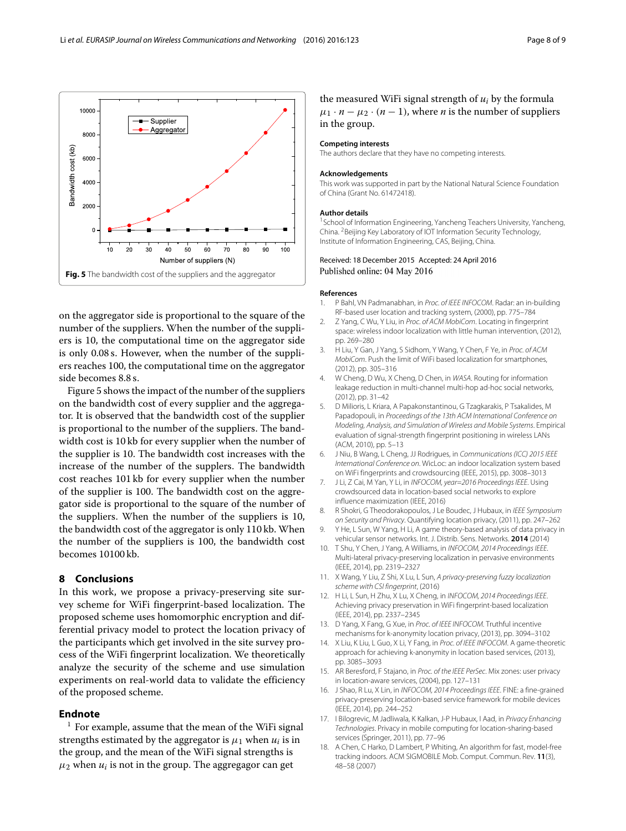<span id="page-7-18"></span>on the aggregator side is proportional to the square of the number of the suppliers. When the number of the suppliers is 10, the computational time on the aggregator side is only 0.08 s. However, when the number of the suppliers reaches 100, the computational time on the aggregator side becomes 8.8 s.

Figure [5](#page-7-18) shows the impact of the number of the suppliers on the bandwidth cost of every supplier and the aggregator. It is observed that the bandwidth cost of the supplier is proportional to the number of the suppliers. The bandwidth cost is 10 kb for every supplier when the number of the supplier is 10. The bandwidth cost increases with the increase of the number of the supplers. The bandwidth cost reaches 101 kb for every supplier when the number of the supplier is 100. The bandwidth cost on the aggregator side is proportional to the square of the number of the suppliers. When the number of the suppliers is 10, the bandwidth cost of the aggregator is only 110 kb. When the number of the suppliers is 100, the bandwidth cost becomes 10100 kb.

## **8 Conclusions**

In this work, we propose a privacy-preserving site survey scheme for WiFi fingerprint-based localization. The proposed scheme uses homomorphic encryption and differential privacy model to protect the location privacy of the participants which get involved in the site survey process of the WiFi fingerprint localization. We theoretically analyze the security of the scheme and use simulation experiments on real-world data to validate the efficiency of the proposed scheme.

## **Endnote**

 $1$  For example, assume that the mean of the WiFi signal strengths estimated by the aggregator is  $\mu_1$  when  $u_i$  is in the group, and the mean of the WiFi signal strengths is  $\mu_2$  when  $u_i$  is not in the group. The aggregagor can get

the measured WiFi signal strength of *ui* by the formula  $\mu_1 \cdot n - \mu_2 \cdot (n-1)$ , where *n* is the number of suppliers in the group.

#### **Competing interests**

The authors declare that they have no competing interests.

#### **Acknowledgements**

This work was supported in part by the National Natural Science Foundation of China (Grant No. 61472418).

#### **Author details**

<sup>1</sup> School of Information Engineering, Yancheng Teachers University, Yancheng, China. 2Beijing Key Laboratory of IOT Information Security Technology, Institute of Information Engineering, CAS, Beijing, China.

#### Received: 18 December 2015 Accepted: 24 April 2016 Published online: 04 May 2016

#### **References**

- <span id="page-7-0"></span>1. P Bahl, VN Padmanabhan, in Proc. of IEEE INFOCOM. Radar: an in-building RF-based user location and tracking system, (2000), pp. 775–784
- <span id="page-7-4"></span>2. Z Yang, C Wu, Y Liu, in Proc. of ACM MobiCom. Locating in fingerprint space: wireless indoor localization with little human intervention, (2012), pp. 269–280
- <span id="page-7-2"></span>3. H Liu, Y Gan, J Yang, S Sidhom, Y Wang, Y Chen, F Ye, in Proc. of ACM MobiCom. Push the limit of WiFi based localization for smartphones, (2012), pp. 305–316
- <span id="page-7-1"></span>4. W Cheng, D Wu, X Cheng, D Chen, in WASA. Routing for information leakage reduction in multi-channel multi-hop ad-hoc social networks, (2012), pp. 31–42
- <span id="page-7-3"></span>5. D Milioris, L Kriara, A Papakonstantinou, G Tzagkarakis, P Tsakalides, M Papadopouli, in Proceedings of the 13th ACM International Conference on Modeling, Analysis, and Simulation of Wireless and Mobile Systems. Empirical evaluation of signal-strength fingerprint positioning in wireless LANs (ACM, 2010), pp. 5–13
- <span id="page-7-5"></span>6. J Niu, B Wang, L Cheng, JJ Rodrigues, in Communications (ICC) 2015 IEEE International Conference on. WicLoc: an indoor localization system based on WiFi fingerprints and crowdsourcing (IEEE, 2015), pp. 3008–3013
- <span id="page-7-6"></span>7. J Li, Z Cai, M Yan, Y Li, in INFOCOM, year=2016 Proceedings IEEE. Using crowdsourced data in location-based social networks to explore influence maximization (IEEE, 2016)
- <span id="page-7-7"></span>8. R Shokri, G Theodorakopoulos, J Le Boudec, J Hubaux, in IEEE Symposium on Security and Privacy. Quantifying location privacy, (2011), pp. 247–262
- <span id="page-7-8"></span>9. Y He, L Sun, W Yang, H Li, A game theory-based analysis of data privacy in vehicular sensor networks. Int. J. Distrib. Sens. Networks. **2014** (2014)
- <span id="page-7-9"></span>10. T Shu, Y Chen, J Yang, A Williams, in INFOCOM, 2014 Proceedings IEEE. Multi-lateral privacy-preserving localization in pervasive environments (IEEE, 2014), pp. 2319–2327
- <span id="page-7-10"></span>11. X Wang, Y Liu, Z Shi, X Lu, L Sun, A privacy-preserving fuzzy localization scheme with CSI fingerprint, (2016)
- <span id="page-7-11"></span>12. H Li, L Sun, H Zhu, X Lu, X Cheng, in INFOCOM, 2014 Proceedings IEEE. Achieving privacy preservation in WiFi fingerprint-based localization (IEEE, 2014), pp. 2337–2345
- <span id="page-7-12"></span>13. D Yang, X Fang, G Xue, in Proc. of IEEE INFOCOM. Truthful incentive mechanisms for k-anonymity location privacy, (2013), pp. 3094–3102
- <span id="page-7-13"></span>14. X Liu, K Liu, L Guo, X Li, Y Fang, in Proc. of IEEE INFOCOM. A game-theoretic approach for achieving k-anonymity in location based services, (2013), pp. 3085–3093
- <span id="page-7-14"></span>15. AR Beresford, F Stajano, in Proc. of the IEEE PerSec. Mix zones: user privacy in location-aware services, (2004), pp. 127–131
- <span id="page-7-15"></span>16. J Shao, R Lu, X Lin, in INFOCOM, 2014 Proceedings IEEE. FINE: a fine-grained privacy-preserving location-based service framework for mobile devices (IEEE, 2014), pp. 244–252
- <span id="page-7-16"></span>17. I Bilogrevic, M Jadliwala, K Kalkan, J-P Hubaux, I Aad, in Privacy Enhancing Technologies. Privacy in mobile computing for location-sharing-based services (Springer, 2011), pp. 77–96
- <span id="page-7-17"></span>18. A Chen, C Harko, D Lambert, P Whiting, An algorithm for fast, model-free tracking indoors. ACM SIGMOBILE Mob. Comput. Commun. Rev. **11**(3), 48–58 (2007)